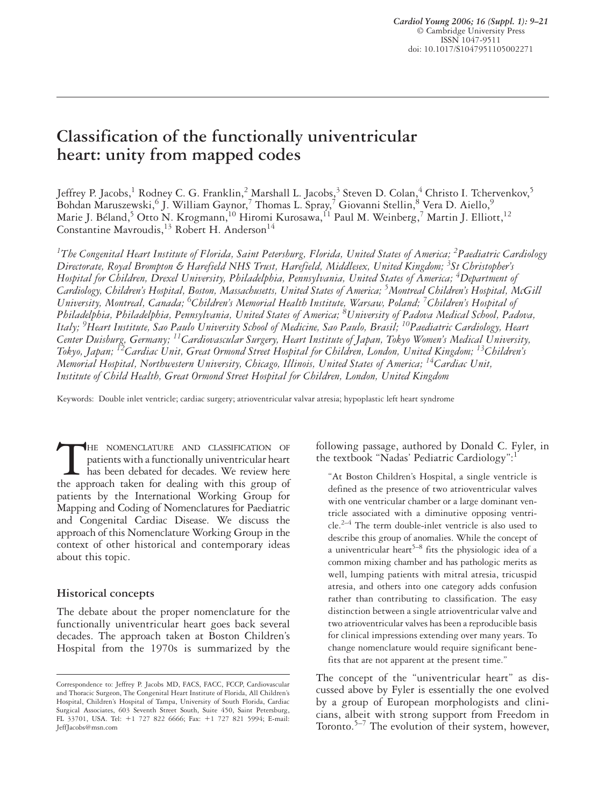# **Classification of the functionally univentricular heart: unity from mapped codes**

Jeffrey P. Jacobs, $^1$  Rodney C. G. Franklin, $^2$  Marshall L. Jacobs, $^3$  Steven D. Colan, $^4$  Christo I. Tchervenkov, $^5$ Bohdan Maruszewski, $^6$  J. William Gaynor, $^7$  Thomas L. Spray, $^7$  Giovanni Stellin, $^8$  Vera D. Aiello, $^9$ Marie J. Béland, $^5$  Otto N. Krogmann, $^{10}$  Hiromi Kurosawa, $^{11}$  Paul M. Weinberg, $^7$  Martin J. Elliott, $^{12}$ Constantine Mavroudis,  $^{13}$  Robert H. Anderson<sup>14</sup>

<sup>1</sup>The Congenital Heart Institute of Florida, Saint Petersburg, Florida, United States of America; <sup>2</sup>Paediatric Cardiology *Directorate, Royal Brompton & Harefield NHS Trust, Harefield, Middlesex, United Kingdom; 3 St Christopher's Hospital for Children, Drexel University, Philadelphia, Pennsylvania, United States of America; 4 Department of Cardiology, Children's Hospital, Boston, Massachusetts, United States of America; 5 Montreal Children's Hospital, McGill University, Montreal, Canada; 6 Children's Memorial Health Institute, Warsaw, Poland; <sup>7</sup> Children's Hospital of Philadelphia, Philadelphia, Pennsylvania, United States of America; 8 University of Padova Medical School, Padova, Italy; 9 Heart Institute, Sao Paulo University School of Medicine, Sao Paulo, Brasil; 10Paediatric Cardiology, Heart Center Duisburg, Germany; 11Cardiovascular Surgery, Heart Institute of Japan, Tokyo Women's Medical University, Tokyo, Japan; 12Cardiac Unit, Great Ormond Street Hospital for Children, London, United Kingdom; 13Children's Memorial Hospital, Northwestern University, Chicago, Illinois, United States of America; 14Cardiac Unit, Institute of Child Health, Great Ormond Street Hospital for Children, London, United Kingdom*

Keywords: Double inlet ventricle; cardiac surgery; atrioventricular valvar atresia; hypoplastic left heart syndrome

THE NOMENCLATURE AND CLASSIFICATION OF patients with a functionally univentricular heart has been debated for decades. We review here the approach taken for dealing with this group of patients with a functionally univentricular heart has been debated for decades. We review here the approach taken for dealing with this group of patients by the International Working Group for Mapping and Coding of Nomenclatures for Paediatric and Congenital Cardiac Disease. We discuss the approach of this Nomenclature Working Group in the context of other historical and contemporary ideas about this topic.

#### **Historical concepts**

The debate about the proper nomenclature for the functionally univentricular heart goes back several decades. The approach taken at Boston Children's Hospital from the 1970s is summarized by the

following passage, authored by Donald C. Fyler, in the textbook "Nadas' Pediatric Cardiology":<sup>1</sup>

"At Boston Children's Hospital, a single ventricle is defined as the presence of two atrioventricular valves with one ventricular chamber or a large dominant ventricle associated with a diminutive opposing ventri $cle.<sup>2–4</sup>$  The term double-inlet ventricle is also used to describe this group of anomalies. While the concept of a univentricular heart<sup>5–8</sup> fits the physiologic idea of a common mixing chamber and has pathologic merits as well, lumping patients with mitral atresia, tricuspid atresia, and others into one category adds confusion rather than contributing to classification. The easy distinction between a single atrioventricular valve and two atrioventricular valves has been a reproducible basis for clinical impressions extending over many years. To change nomenclature would require significant benefits that are not apparent at the present time."

The concept of the "univentricular heart" as discussed above by Fyler is essentially the one evolved by a group of European morphologists and clinicians, albeit with strong support from Freedom in Toronto. $5-7$  The evolution of their system, however,

Correspondence to: Jeffrey P. Jacobs MD, FACS, FACC, FCCP, Cardiovascular and Thoracic Surgeon, The Congenital Heart Institute of Florida, All Children's Hospital, Children's Hospital of Tampa, University of South Florida, Cardiac Surgical Associates, 603 Seventh Street South, Suite 450, Saint Petersburg, FL 33701, USA. Tel: +1 727 822 6666; Fax: +1 727 821 5994; E-mail: JeffJacobs@msn.com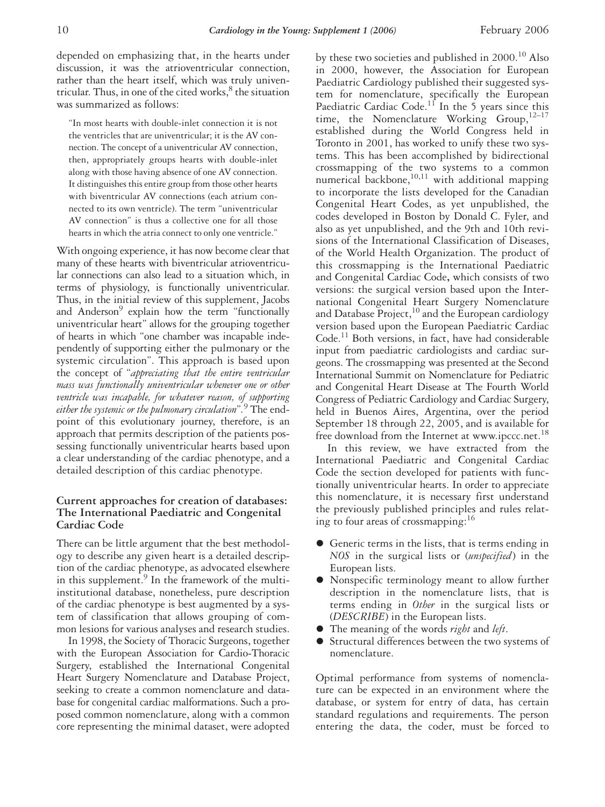depended on emphasizing that, in the hearts under discussion, it was the atrioventricular connection, rather than the heart itself, which was truly univentricular. Thus, in one of the cited works, $<sup>8</sup>$  the situation</sup> was summarized as follows:

"In most hearts with double-inlet connection it is not the ventricles that are univentricular; it is the AV connection. The concept of a univentricular AV connection, then, appropriately groups hearts with double-inlet along with those having absence of one AV connection. It distinguishes this entire group from those other hearts with biventricular AV connections (each atrium connected to its own ventricle). The term "univentricular AV connection" is thus a collective one for all those hearts in which the atria connect to only one ventricle."

With ongoing experience, it has now become clear that many of these hearts with biventricular atrioventricular connections can also lead to a situation which, in terms of physiology, is functionally univentricular. Thus, in the initial review of this supplement, Jacobs and Anderson<sup>9</sup> explain how the term "functionally univentricular heart" allows for the grouping together of hearts in which "one chamber was incapable independently of supporting either the pulmonary or the systemic circulation". This approach is based upon the concept of "*appreciating that the entire ventricular mass was functionally univentricular whenever one or other ventricle was incapable, for whatever reason, of supporting either the systemic or the pulmonary circulation*"*.* <sup>9</sup> The endpoint of this evolutionary journey, therefore, is an approach that permits description of the patients possessing functionally univentricular hearts based upon a clear understanding of the cardiac phenotype, and a detailed description of this cardiac phenotype.

## **Current approaches for creation of databases: The International Paediatric and Congenital Cardiac Code**

There can be little argument that the best methodology to describe any given heart is a detailed description of the cardiac phenotype, as advocated elsewhere in this supplement.<sup>9</sup> In the framework of the multiinstitutional database, nonetheless, pure description of the cardiac phenotype is best augmented by a system of classification that allows grouping of common lesions for various analyses and research studies.

In 1998, the Society of Thoracic Surgeons, together with the European Association for Cardio-Thoracic Surgery, established the International Congenital Heart Surgery Nomenclature and Database Project, seeking to create a common nomenclature and database for congenital cardiac malformations. Such a proposed common nomenclature, along with a common core representing the minimal dataset, were adopted

by these two societies and published in  $2000$ .<sup>10</sup> Also in 2000, however, the Association for European Paediatric Cardiology published their suggested system for nomenclature, specifically the European Paediatric Cardiac Code.<sup>11</sup> In the 5 years since this time, the Nomenclature Working Group,  $12-17$ established during the World Congress held in Toronto in 2001, has worked to unify these two systems. This has been accomplished by bidirectional crossmapping of the two systems to a common numerical backbone, $10,11$  with additional mapping to incorporate the lists developed for the Canadian Congenital Heart Codes, as yet unpublished, the codes developed in Boston by Donald C. Fyler, and also as yet unpublished, and the 9th and 10th revisions of the International Classification of Diseases, of the World Health Organization. The product of this crossmapping is the International Paediatric and Congenital Cardiac Code**,** which consists of two versions: the surgical version based upon the International Congenital Heart Surgery Nomenclature and Database Project,  $^{10}$  and the European cardiology version based upon the European Paediatric Cardiac Code.<sup>11</sup> Both versions, in fact, have had considerable input from paediatric cardiologists and cardiac surgeons. The crossmapping was presented at the Second International Summit on Nomenclature for Pediatric and Congenital Heart Disease at The Fourth World Congress of Pediatric Cardiology and Cardiac Surgery, held in Buenos Aires, Argentina, over the period September 18 through 22, 2005, and is available for free download from the Internet at www.ipccc.net.<sup>18</sup>

In this review, we have extracted from the International Paediatric and Congenital Cardiac Code the section developed for patients with functionally univentricular hearts. In order to appreciate this nomenclature, it is necessary first understand the previously published principles and rules relating to four areas of crossmapping:16

- Generic terms in the lists, that is terms ending in *NOS* in the surgical lists or (*unspecified*) in the European lists.
- Nonspecific terminology meant to allow further description in the nomenclature lists, that is terms ending in *Other* in the surgical lists or (*DESCRIBE*) in the European lists.
- The meaning of the words *right* and *left*.
- Structural differences between the two systems of nomenclature.

Optimal performance from systems of nomenclature can be expected in an environment where the database, or system for entry of data, has certain standard regulations and requirements. The person entering the data, the coder, must be forced to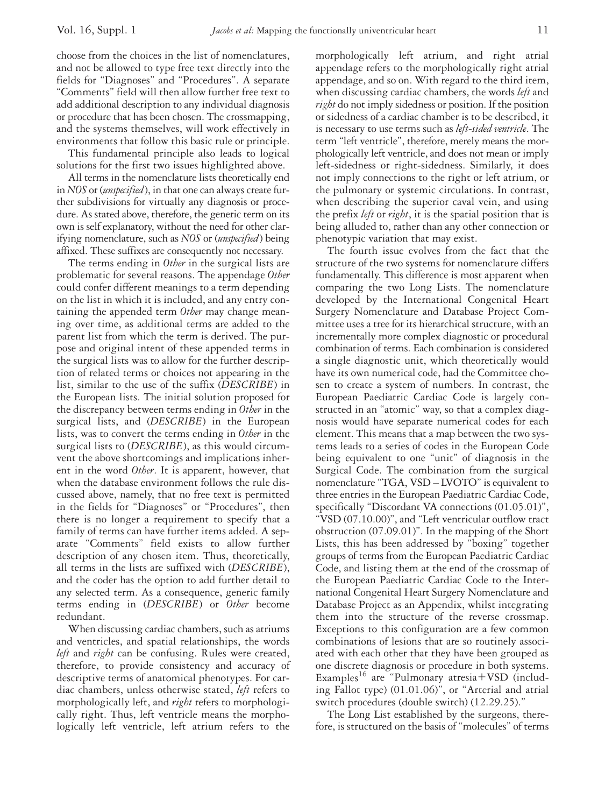choose from the choices in the list of nomenclatures, and not be allowed to type free text directly into the fields for "Diagnoses" and "Procedures". A separate "Comments" field will then allow further free text to add additional description to any individual diagnosis or procedure that has been chosen. The crossmapping, and the systems themselves, will work effectively in environments that follow this basic rule or principle.

This fundamental principle also leads to logical solutions for the first two issues highlighted above.

All terms in the nomenclature lists theoretically end in *NOS* or (*unspecified*), in that one can always create further subdivisions for virtually any diagnosis or procedure. As stated above, therefore, the generic term on its own is self explanatory, without the need for other clarifying nomenclature, such as *NOS* or (*unspecified*) being affixed. These suffixes are consequently not necessary.

The terms ending in *Other* in the surgical lists are problematic for several reasons. The appendage *Other* could confer different meanings to a term depending on the list in which it is included, and any entry containing the appended term *Other* may change meaning over time, as additional terms are added to the parent list from which the term is derived. The purpose and original intent of these appended terms in the surgical lists was to allow for the further description of related terms or choices not appearing in the list, similar to the use of the suffix (*DESCRIBE*) in the European lists. The initial solution proposed for the discrepancy between terms ending in *Other* in the surgical lists, and (*DESCRIBE*) in the European lists, was to convert the terms ending in *Other* in the surgical lists to (*DESCRIBE*), as this would circumvent the above shortcomings and implications inherent in the word *Other*. It is apparent, however, that when the database environment follows the rule discussed above, namely, that no free text is permitted in the fields for "Diagnoses" or "Procedures", then there is no longer a requirement to specify that a family of terms can have further items added. A separate "Comments" field exists to allow further description of any chosen item. Thus, theoretically, all terms in the lists are suffixed with (*DESCRIBE*), and the coder has the option to add further detail to any selected term. As a consequence, generic family terms ending in (*DESCRIBE*) or *Other* become redundant.

When discussing cardiac chambers, such as atriums and ventricles, and spatial relationships, the words *left* and *right* can be confusing. Rules were created, therefore, to provide consistency and accuracy of descriptive terms of anatomical phenotypes. For cardiac chambers, unless otherwise stated, *left* refers to morphologically left, and *right* refers to morphologically right. Thus, left ventricle means the morphologically left ventricle, left atrium refers to the

morphologically left atrium, and right atrial appendage refers to the morphologically right atrial appendage, and so on. With regard to the third item, when discussing cardiac chambers, the words *left* and *right* do not imply sidedness or position. If the position or sidedness of a cardiac chamber is to be described, it is necessary to use terms such as *left-sided ventricle*. The term "left ventricle", therefore, merely means the morphologically left ventricle, and does not mean or imply left-sidedness or right-sidedness. Similarly, it does not imply connections to the right or left atrium, or the pulmonary or systemic circulations. In contrast, when describing the superior caval vein, and using the prefix *left* or *right*, it is the spatial position that is being alluded to, rather than any other connection or phenotypic variation that may exist.

The fourth issue evolves from the fact that the structure of the two systems for nomenclature differs fundamentally. This difference is most apparent when comparing the two Long Lists. The nomenclature developed by the International Congenital Heart Surgery Nomenclature and Database Project Committee uses a tree for its hierarchical structure, with an incrementally more complex diagnostic or procedural combination of terms. Each combination is considered a single diagnostic unit, which theoretically would have its own numerical code, had the Committee chosen to create a system of numbers. In contrast, the European Paediatric Cardiac Code is largely constructed in an "atomic" way, so that a complex diagnosis would have separate numerical codes for each element. This means that a map between the two systems leads to a series of codes in the European Code being equivalent to one "unit" of diagnosis in the Surgical Code. The combination from the surgical nomenclature "TGA, VSD – LVOTO" is equivalent to three entries in the European Paediatric Cardiac Code, specifically "Discordant VA connections (01.05.01)", "VSD (07.10.00)", and "Left ventricular outflow tract obstruction (07.09.01)". In the mapping of the Short Lists, this has been addressed by "boxing" together groups of terms from the European Paediatric Cardiac Code, and listing them at the end of the crossmap of the European Paediatric Cardiac Code to the International Congenital Heart Surgery Nomenclature and Database Project as an Appendix, whilst integrating them into the structure of the reverse crossmap. Exceptions to this configuration are a few common combinations of lesions that are so routinely associated with each other that they have been grouped as one discrete diagnosis or procedure in both systems. Examples<sup>16</sup> are "Pulmonary atresia + VSD (including Fallot type) (01.01.06)", or "Arterial and atrial switch procedures (double switch) (12.29.25)."

The Long List established by the surgeons, therefore, is structured on the basis of "molecules" of terms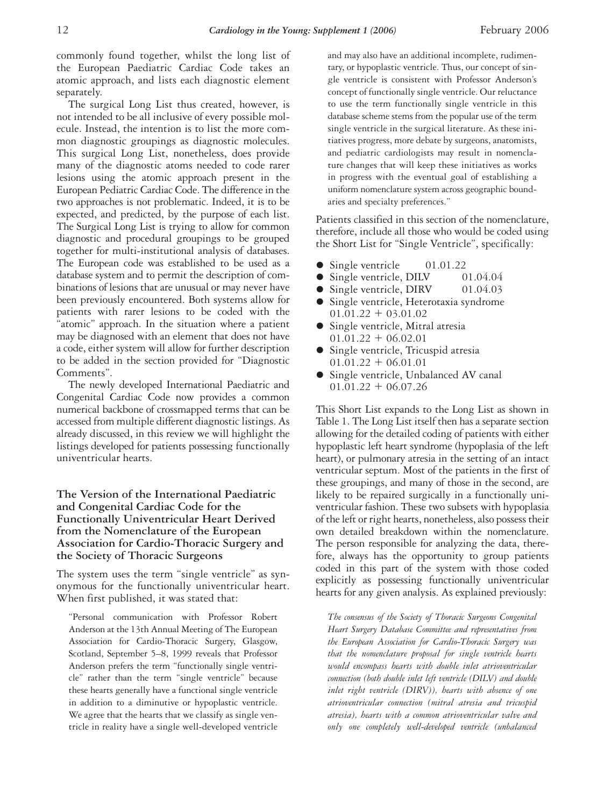commonly found together, whilst the long list of the European Paediatric Cardiac Code takes an atomic approach, and lists each diagnostic element separately.

The surgical Long List thus created, however, is not intended to be all inclusive of every possible molecule. Instead, the intention is to list the more common diagnostic groupings as diagnostic molecules. This surgical Long List, nonetheless, does provide many of the diagnostic atoms needed to code rarer lesions using the atomic approach present in the European Pediatric Cardiac Code. The difference in the two approaches is not problematic. Indeed, it is to be expected, and predicted, by the purpose of each list. The Surgical Long List is trying to allow for common diagnostic and procedural groupings to be grouped together for multi-institutional analysis of databases. The European code was established to be used as a database system and to permit the description of combinations of lesions that are unusual or may never have been previously encountered. Both systems allow for patients with rarer lesions to be coded with the "atomic" approach. In the situation where a patient may be diagnosed with an element that does not have a code, either system will allow for further description to be added in the section provided for "Diagnostic Comments".

The newly developed International Paediatric and Congenital Cardiac Code now provides a common numerical backbone of crossmapped terms that can be accessed from multiple different diagnostic listings. As already discussed, in this review we will highlight the listings developed for patients possessing functionally univentricular hearts.

## **The Version of the International Paediatric and Congenital Cardiac Code for the Functionally Univentricular Heart Derived from the Nomenclature of the European Association for Cardio-Thoracic Surgery and the Society of Thoracic Surgeons**

The system uses the term "single ventricle" as synonymous for the functionally univentricular heart. When first published, it was stated that:

"Personal communication with Professor Robert Anderson at the 13th Annual Meeting of The European Association for Cardio-Thoracic Surgery, Glasgow, Scotland, September 5–8, 1999 reveals that Professor Anderson prefers the term "functionally single ventricle" rather than the term "single ventricle" because these hearts generally have a functional single ventricle in addition to a diminutive or hypoplastic ventricle. We agree that the hearts that we classify as single ventricle in reality have a single well-developed ventricle

and may also have an additional incomplete, rudimentary, or hypoplastic ventricle. Thus, our concept of single ventricle is consistent with Professor Anderson's concept of functionally single ventricle. Our reluctance to use the term functionally single ventricle in this database scheme stems from the popular use of the term single ventricle in the surgical literature. As these initiatives progress, more debate by surgeons, anatomists, and pediatric cardiologists may result in nomenclature changes that will keep these initiatives as works in progress with the eventual goal of establishing a uniform nomenclature system across geographic boundaries and specialty preferences."

Patients classified in this section of the nomenclature, therefore, include all those who would be coded using the Short List for "Single Ventricle", specifically:

- Single ventricle 01.01.22
- Single ventricle, DILV 01.04.04
- Single ventricle, DIRV 01.04.03
- Single ventricle, Heterotaxia syndrome  $01.01.22 + 03.01.02$
- Single ventricle, Mitral atresia  $01.01.22 + 06.02.01$
- Single ventricle, Tricuspid atresia  $01.01.22 + 06.01.01$
- Single ventricle, Unbalanced AV canal  $01.01.22 + 06.07.26$

This Short List expands to the Long List as shown in Table 1. The Long List itself then has a separate section allowing for the detailed coding of patients with either hypoplastic left heart syndrome (hypoplasia of the left heart), or pulmonary atresia in the setting of an intact ventricular septum. Most of the patients in the first of these groupings, and many of those in the second, are likely to be repaired surgically in a functionally univentricular fashion. These two subsets with hypoplasia of the left or right hearts, nonetheless, also possess their own detailed breakdown within the nomenclature. The person responsible for analyzing the data, therefore, always has the opportunity to group patients coded in this part of the system with those coded explicitly as possessing functionally univentricular hearts for any given analysis. As explained previously:

*The consensus of the Society of Thoracic Surgeons Congenital Heart Surgery Database Committee and representatives from the European Association for Cardio-Thoracic Surgery was that the nomenclature proposal for single ventricle hearts would encompass hearts with double inlet atrioventricular connection (both double inlet left ventricle (DILV) and double inlet right ventricle (DIRV)), hearts with absence of one atrioventricular connection (mitral atresia and tricuspid atresia), hearts with a common atrioventricular valve and only one completely well-developed ventricle (unbalanced*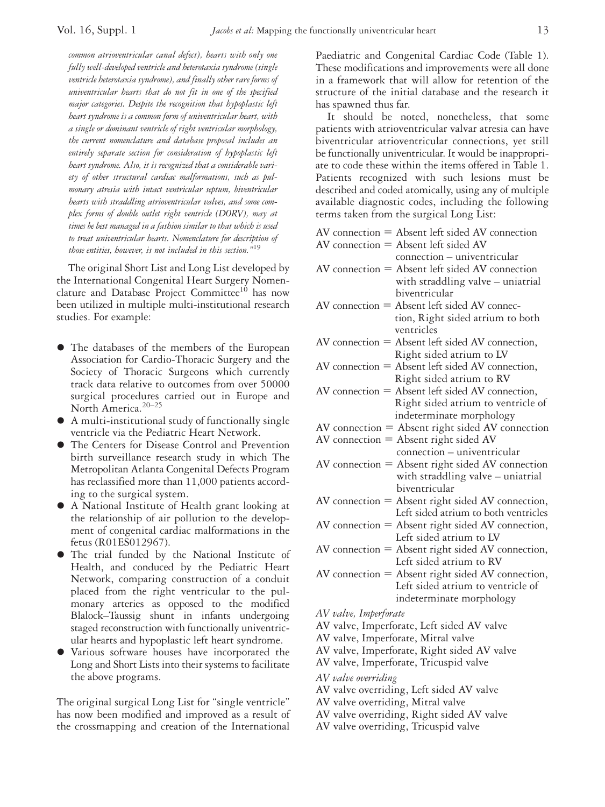*common atrioventricular canal defect), hearts with only one fully well-developed ventricle and heterotaxia syndrome (single ventricle heterotaxia syndrome), and finally other rare forms of univentricular hearts that do not fit in one of the specified major categories. Despite the recognition that hypoplastic left heart syndrome is a common form of univentricular heart, with a single or dominant ventricle of right ventricular morphology, the current nomenclature and database proposal includes an entirely separate section for consideration of hypoplastic left heart syndrome. Also, it is recognized that a considerable variety of other structural cardiac malformations, such as pulmonary atresia with intact ventricular septum, biventricular hearts with straddling atrioventricular valves, and some complex forms of double outlet right ventricle (DORV), may at times be best managed in a fashion similar to that which is used to treat univentricular hearts. Nomenclature for description of those entities, however, is not included in this section."*<sup>19</sup>

The original Short List and Long List developed by the International Congenital Heart Surgery Nomenclature and Database Project Committee<sup>10</sup> has now been utilized in multiple multi-institutional research studies. For example:

- The databases of the members of the European Association for Cardio-Thoracic Surgery and the Society of Thoracic Surgeons which currently track data relative to outcomes from over 50000 surgical procedures carried out in Europe and North America.20–25
- A multi-institutional study of functionally single ventricle via the Pediatric Heart Network.
- The Centers for Disease Control and Prevention birth surveillance research study in which The Metropolitan Atlanta Congenital Defects Program has reclassified more than 11,000 patients according to the surgical system.
- A National Institute of Health grant looking at the relationship of air pollution to the development of congenital cardiac malformations in the fetus (R01ES012967).
- The trial funded by the National Institute of Health, and conduced by the Pediatric Heart Network, comparing construction of a conduit placed from the right ventricular to the pulmonary arteries as opposed to the modified Blalock–Taussig shunt in infants undergoing staged reconstruction with functionally univentricular hearts and hypoplastic left heart syndrome.
- Various software houses have incorporated the Long and Short Lists into their systems to facilitate the above programs.

The original surgical Long List for "single ventricle" has now been modified and improved as a result of the crossmapping and creation of the International

Paediatric and Congenital Cardiac Code (Table 1). These modifications and improvements were all done in a framework that will allow for retention of the structure of the initial database and the research it has spawned thus far.

It should be noted, nonetheless, that some patients with atrioventricular valvar atresia can have biventricular atrioventricular connections, yet still be functionally univentricular. It would be inappropriate to code these within the items offered in Table 1. Patients recognized with such lesions must be described and coded atomically, using any of multiple available diagnostic codes, including the following terms taken from the surgical Long List:

- $AV connection = Absent left sideed AV connection$
- $AV$  connection = Absent left sided  $AV$ connection – univentricular
- $AV connection = Absent left sideed AV connection$ with straddling valve – uniatrial biventricular
- $AV connection = Absent left sided AV connect$ tion, Right sided atrium to both ventricles
- $AV connection = Absent left sideed AV connection,$ Right sided atrium to LV
- $AV connection = Absent left sideed AV connection,$ Right sided atrium to RV
- $AV connection = Absent left sideed AV connection,$ Right sided atrium to ventricle of indeterminate morphology
- $AV connection = Absent right *AV connection*$
- $AV$  connection = Absent right sided  $AV$
- connection univentricular  $AV connection = Absent right *AV connection*$ with straddling valve – uniatrial biventricular
- $AV connection = Absent right *RV connection*,$ Left sided atrium to both ventricles
- $AV connection = Absent right *RV connection*,$ Left sided atrium to LV
- $AV connection = Absent right *RV connection*,$ Left sided atrium to RV
- $AV connection = Absent right *AV connection*,$ Left sided atrium to ventricle of indeterminate morphology
- *AV valve, Imperforate*
- AV valve, Imperforate, Left sided AV valve
- AV valve, Imperforate, Mitral valve
- AV valve, Imperforate, Right sided AV valve
- AV valve, Imperforate, Tricuspid valve
- *AV valve overriding*
- AV valve overriding, Left sided AV valve
- AV valve overriding, Mitral valve
- AV valve overriding, Right sided AV valve
- AV valve overriding, Tricuspid valve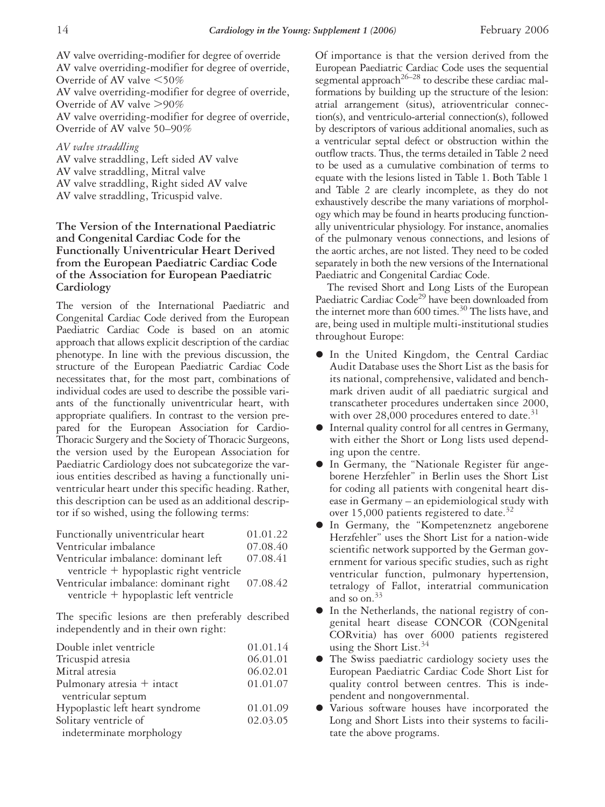AV valve overriding-modifier for degree of override AV valve overriding-modifier for degree of override, Override of AV valve  $\leq 50\%$ AV valve overriding-modifier for degree of override, Override of AV valve  $>90\%$ AV valve overriding-modifier for degree of override, Override of AV valve 50–90%

*AV valve straddling*

AV valve straddling, Left sided AV valve AV valve straddling, Mitral valve AV valve straddling, Right sided AV valve AV valve straddling, Tricuspid valve.

## **The Version of the International Paediatric and Congenital Cardiac Code for the Functionally Univentricular Heart Derived from the European Paediatric Cardiac Code of the Association for European Paediatric Cardiology**

The version of the International Paediatric and Congenital Cardiac Code derived from the European Paediatric Cardiac Code is based on an atomic approach that allows explicit description of the cardiac phenotype. In line with the previous discussion, the structure of the European Paediatric Cardiac Code necessitates that, for the most part, combinations of individual codes are used to describe the possible variants of the functionally univentricular heart, with appropriate qualifiers. In contrast to the version prepared for the European Association for Cardio-Thoracic Surgery and the Society of Thoracic Surgeons, the version used by the European Association for Paediatric Cardiology does not subcategorize the various entities described as having a functionally univentricular heart under this specific heading. Rather, this description can be used as an additional descriptor if so wished, using the following terms:

| Functionally univentricular heart       | 01.01.22 |
|-----------------------------------------|----------|
| Ventricular imbalance                   | 07.08.40 |
| Ventricular imbalance: dominant left    | 07.08.41 |
| ventricle + hypoplastic right ventricle |          |
| Ventricular imbalance: dominant right   | 07.08.42 |
| ventricle + hypoplastic left ventricle  |          |

The specific lesions are then preferably described independently and in their own right:

| Double inlet ventricle          | 01.01.14 |
|---------------------------------|----------|
| Tricuspid atresia               | 06.01.01 |
| Mitral atresia                  | 06.02.01 |
| Pulmonary atresia $+$ intact    | 01.01.07 |
| ventricular septum              |          |
| Hypoplastic left heart syndrome | 01.01.09 |
| Solitary ventricle of           | 02.03.05 |
| indeterminate morphology        |          |

Of importance is that the version derived from the European Paediatric Cardiac Code uses the sequential segmental approach<sup>26–28</sup> to describe these cardiac malformations by building up the structure of the lesion: atrial arrangement (situs), atrioventricular connection(s), and ventriculo-arterial connection(s), followed by descriptors of various additional anomalies, such as a ventricular septal defect or obstruction within the outflow tracts. Thus, the terms detailed in Table 2 need to be used as a cumulative combination of terms to equate with the lesions listed in Table 1. Both Table 1 and Table 2 are clearly incomplete, as they do not exhaustively describe the many variations of morphology which may be found in hearts producing functionally univentricular physiology. For instance, anomalies of the pulmonary venous connections, and lesions of the aortic arches, are not listed. They need to be coded separately in both the new versions of the International Paediatric and Congenital Cardiac Code.

The revised Short and Long Lists of the European Paediatric Cardiac Code<sup>29</sup> have been downloaded from the internet more than 600 times.<sup>30</sup> The lists have, and are, being used in multiple multi-institutional studies throughout Europe:

- **•** In the United Kingdom, the Central Cardiac Audit Database uses the Short List as the basis for its national, comprehensive, validated and benchmark driven audit of all paediatric surgical and transcatheter procedures undertaken since 2000, with over 28,000 procedures entered to date. $31$
- Internal quality control for all centres in Germany, with either the Short or Long lists used depending upon the centre.
- In Germany, the "Nationale Register für angeborene Herzfehler" in Berlin uses the Short List for coding all patients with congenital heart disease in Germany – an epidemiological study with over 15,000 patients registered to date.<sup>32</sup>
- In Germany, the "Kompetenznetz angeborene Herzfehler" uses the Short List for a nation-wide scientific network supported by the German government for various specific studies, such as right ventricular function, pulmonary hypertension, tetralogy of Fallot, interatrial communication and so on. $33$
- In the Netherlands, the national registry of congenital heart disease CONCOR (CONgenital CORvitia) has over 6000 patients registered using the Short List.<sup>34</sup>
- The Swiss paediatric cardiology society uses the European Paediatric Cardiac Code Short List for quality control between centres. This is independent and nongovernmental.
- Various software houses have incorporated the Long and Short Lists into their systems to facilitate the above programs.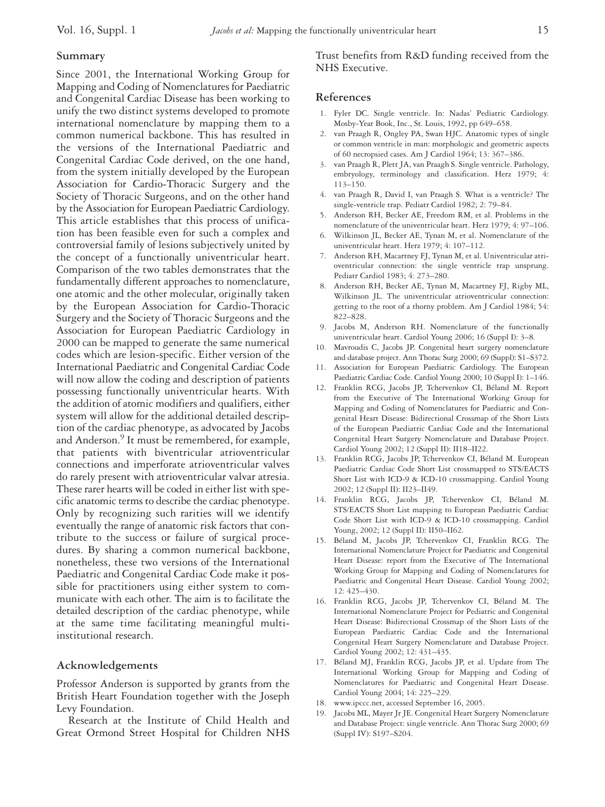## **Summary**

Since 2001, the International Working Group for Mapping and Coding of Nomenclatures for Paediatric and Congenital Cardiac Disease has been working to unify the two distinct systems developed to promote international nomenclature by mapping them to a common numerical backbone. This has resulted in the versions of the International Paediatric and Congenital Cardiac Code derived, on the one hand, from the system initially developed by the European Association for Cardio-Thoracic Surgery and the Society of Thoracic Surgeons, and on the other hand by the Association for European Paediatric Cardiology. This article establishes that this process of unification has been feasible even for such a complex and controversial family of lesions subjectively united by the concept of a functionally univentricular heart. Comparison of the two tables demonstrates that the fundamentally different approaches to nomenclature, one atomic and the other molecular, originally taken by the European Association for Cardio-Thoracic Surgery and the Society of Thoracic Surgeons and the Association for European Paediatric Cardiology in 2000 can be mapped to generate the same numerical codes which are lesion-specific. Either version of the International Paediatric and Congenital Cardiac Code will now allow the coding and description of patients possessing functionally univentricular hearts. With the addition of atomic modifiers and qualifiers, either system will allow for the additional detailed description of the cardiac phenotype, as advocated by Jacobs and Anderson.<sup>9</sup> It must be remembered, for example, that patients with biventricular atrioventricular connections and imperforate atrioventricular valves do rarely present with atrioventricular valvar atresia. These rarer hearts will be coded in either list with specific anatomic terms to describe the cardiac phenotype. Only by recognizing such rarities will we identify eventually the range of anatomic risk factors that contribute to the success or failure of surgical procedures. By sharing a common numerical backbone, nonetheless, these two versions of the International Paediatric and Congenital Cardiac Code make it possible for practitioners using either system to communicate with each other. The aim is to facilitate the detailed description of the cardiac phenotype, while at the same time facilitating meaningful multiinstitutional research.

# **Acknowledgements**

Professor Anderson is supported by grants from the British Heart Foundation together with the Joseph Levy Foundation.

Research at the Institute of Child Health and Great Ormond Street Hospital for Children NHS Trust benefits from R&D funding received from the NHS Executive.

#### **References**

- 1. Fyler DC. Single ventricle. In: Nadas' Pediatric Cardiology. Mosby-Year Book, Inc., St. Louis, 1992, pp 649–658.
- 2. van Praagh R, Ongley PA, Swan HJC. Anatomic types of single or common ventricle in man: morphologic and geometric aspects of 60 necropsied cases. Am J Cardiol 1964; 13: 367–386.
- 3. van Praagh R, Plett JA, van Praagh S. Single ventricle. Pathology, embryology, terminology and classification. Herz 1979; 4: 113–150.
- 4. van Praagh R, David I, van Praagh S. What is a ventricle? The single-ventricle trap. Pediatr Cardiol 1982; 2: 79–84.
- 5. Anderson RH, Becker AE, Freedom RM, et al. Problems in the nomenclature of the univentricular heart. Herz 1979; 4: 97–106.
- 6. Wilkinson JL, Becker AE, Tynan M, et al. Nomenclature of the univentricular heart. Herz 1979; 4: 107–112.
- 7. Anderson RH, Macartney FJ, Tynan M, et al. Univentricular atrioventricular connection: the single ventricle trap unsprung. Pediatr Cardiol 1983; 4: 273–280.
- 8. Anderson RH, Becker AE, Tynan M, Macartney FJ, Rigby ML, Wilkinson IL. The univentricular atrioventricular connection: getting to the root of a thorny problem. Am J Cardiol 1984; 54: 822–828.
- 9. Jacobs M, Anderson RH. Nomenclature of the functionally univentricular heart. Cardiol Young 2006; 16 (Suppl I): 3–8*.*
- 10. Mavroudis C, Jacobs JP. Congenital heart surgery nomenclature and database project. Ann Thorac Surg 2000; 69 (Suppl): S1–S372.
- 11. Association for European Paediatric Cardiology. The European Paediatric Cardiac Code. Cardiol Young 2000; 10 (Suppl I): 1–146.
- 12. Franklin RCG, Jacobs JP, Tchervenkov CI, Béland M. Report from the Executive of The International Working Group for Mapping and Coding of Nomenclatures for Paediatric and Congenital Heart Disease: Bidirectional Crossmap of the Short Lists of the European Paediatric Cardiac Code and the International Congenital Heart Surgery Nomenclature and Database Project. Cardiol Young 2002; 12 (Suppl II): II18–II22.
- 13. Franklin RCG, Jacobs JP, Tchervenkov CI, Béland M. European Paediatric Cardiac Code Short List crossmapped to STS/EACTS Short List with ICD-9 & ICD-10 crossmapping. Cardiol Young 2002; 12 (Suppl II): II23–II49.
- 14. Franklin RCG, Jacobs JP, Tchervenkov CI, Béland M. STS/EACTS Short List mapping to European Paediatric Cardiac Code Short List with ICD-9 & ICD-10 crossmapping. Cardiol Young, 2002; 12 (Suppl II): II50–II62.
- 15. Béland M, Jacobs JP, Tchervenkov CI, Franklin RCG. The International Nomenclature Project for Paediatric and Congenital Heart Disease: report from the Executive of The International Working Group for Mapping and Coding of Nomenclatures for Paediatric and Congenital Heart Disease. Cardiol Young 2002; 12: 425–430.
- 16. Franklin RCG, Jacobs JP, Tchervenkov CI, Béland M. The International Nomenclature Project for Pediatric and Congenital Heart Disease: Bidirectional Crossmap of the Short Lists of the European Paediatric Cardiac Code and the International Congenital Heart Surgery Nomenclature and Database Project. Cardiol Young 2002; 12: 431–435.
- 17. Béland MJ, Franklin RCG, Jacobs JP, et al. Update from The International Working Group for Mapping and Coding of Nomenclatures for Paediatric and Congenital Heart Disease. Cardiol Young 2004; 14: 225–229.
- 18. www.ipccc.net, accessed September 16, 2005.
- 19. Jacobs ML, Mayer Jr JE. Congenital Heart Surgery Nomenclature and Database Project: single ventricle. Ann Thorac Surg 2000; 69 (Suppl IV): S197–S204.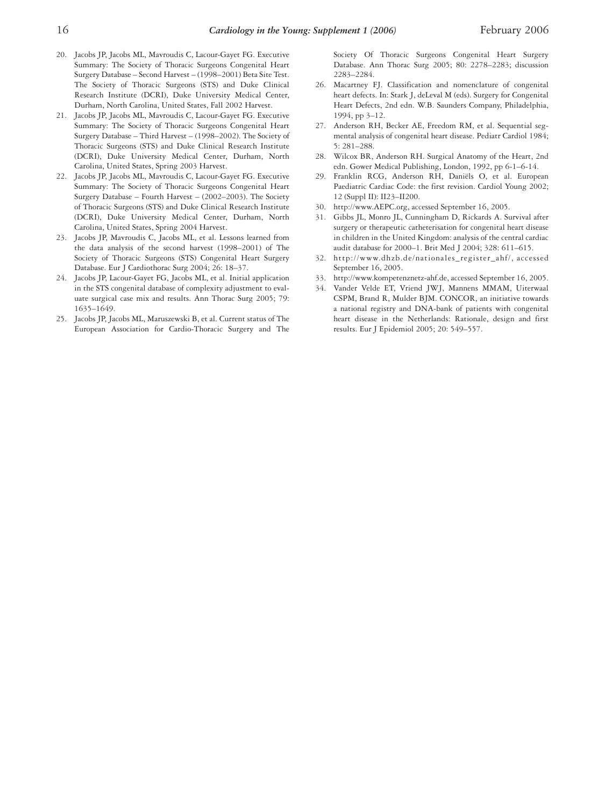- 20. Jacobs JP, Jacobs ML, Mavroudis C, Lacour-Gayet FG. Executive Summary: The Society of Thoracic Surgeons Congenital Heart Surgery Database – Second Harvest – (1998–2001) Beta Site Test. The Society of Thoracic Surgeons (STS) and Duke Clinical Research Institute (DCRI), Duke University Medical Center, Durham, North Carolina, United States, Fall 2002 Harvest.
- 21. Jacobs JP, Jacobs ML, Mavroudis C, Lacour-Gayet FG. Executive Summary: The Society of Thoracic Surgeons Congenital Heart Surgery Database – Third Harvest – (1998–2002). The Society of Thoracic Surgeons (STS) and Duke Clinical Research Institute (DCRI), Duke University Medical Center, Durham, North Carolina, United States, Spring 2003 Harvest.
- 22. Jacobs JP, Jacobs ML, Mavroudis C, Lacour-Gayet FG. Executive Summary: The Society of Thoracic Surgeons Congenital Heart Surgery Database – Fourth Harvest – (2002–2003). The Society of Thoracic Surgeons (STS) and Duke Clinical Research Institute (DCRI), Duke University Medical Center, Durham, North Carolina, United States, Spring 2004 Harvest.
- 23. Jacobs JP, Mavroudis C, Jacobs ML, et al. Lessons learned from the data analysis of the second harvest (1998–2001) of The Society of Thoracic Surgeons (STS) Congenital Heart Surgery Database. Eur J Cardiothorac Surg 2004; 26: 18–37.
- 24. Jacobs JP, Lacour-Gayet FG, Jacobs ML, et al. Initial application in the STS congenital database of complexity adjustment to evaluate surgical case mix and results. Ann Thorac Surg 2005; 79: 1635–1649.
- 25. Jacobs JP, Jacobs ML, Maruszewski B, et al. Current status of The European Association for Cardio-Thoracic Surgery and The

Society Of Thoracic Surgeons Congenital Heart Surgery Database. Ann Thorac Surg 2005; 80: 2278–2283; discussion 2283–2284.

- 26. Macartney FJ. Classification and nomenclature of congenital heart defects. In: Stark J, deLeval M (eds). Surgery for Congenital Heart Defects, 2nd edn. W.B. Saunders Company, Philadelphia, 1994, pp 3–12.
- 27. Anderson RH, Becker AE, Freedom RM, et al. Sequential segmental analysis of congenital heart disease. Pediatr Cardiol 1984; 5: 281–288.
- 28. Wilcox BR, Anderson RH. Surgical Anatomy of the Heart, 2nd edn. Gower Medical Publishing, London, 1992, pp 6-1–6-14.
- 29. Franklin RCG, Anderson RH, Daniëls O, et al. European Paediatric Cardiac Code: the first revision. Cardiol Young 2002; 12 (Suppl II): II23–II200.
- 30. http://www.AEPC.org, accessed September 16, 2005.
- 31. Gibbs JL, Monro JL, Cunningham D, Rickards A. Survival after surgery or therapeutic catheterisation for congenital heart disease in children in the United Kingdom: analysis of the central cardiac audit database for 2000–1. Brit Med J 2004; 328: 611–615.
- 32. http://www.dhzb.de/nationales\_register\_ahf/, accessed September 16, 2005.
- 33. http://www.kompetenznetz-ahf.de, accessed September 16, 2005.
- 34. Vander Velde ET, Vriend JWJ, Mannens MMAM, Uiterwaal CSPM, Brand R, Mulder BJM. CONCOR, an initiative towards a national registry and DNA-bank of patients with congenital heart disease in the Netherlands: Rationale, design and first results. Eur J Epidemiol 2005; 20: 549–557.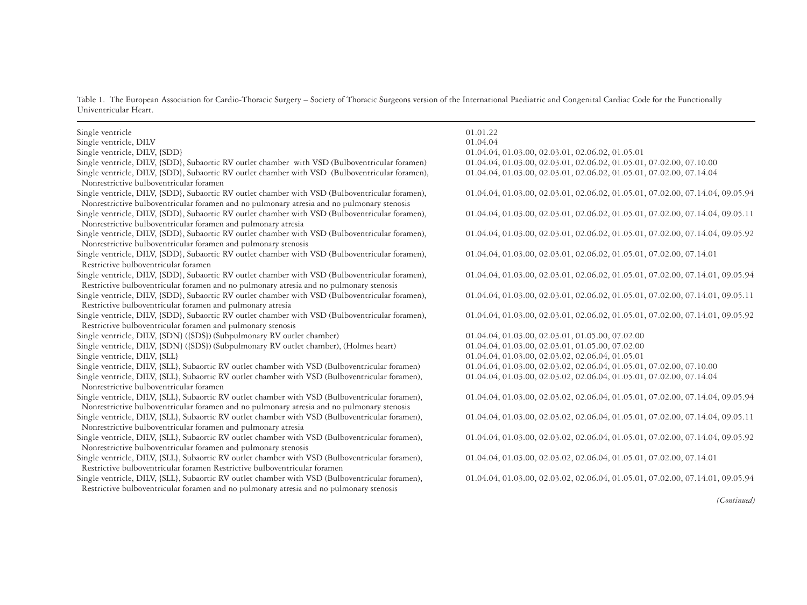Table 1. The European Association for Cardio-Thoracic Surgery – Society of Thoracic Surgeons version of the International Paediatric and Congenital Cardiac Code for the Functionally Univentricular Heart.

| Single ventricle                                                                                                                           | 01.01.22                                                                       |
|--------------------------------------------------------------------------------------------------------------------------------------------|--------------------------------------------------------------------------------|
| Single ventricle, DILV                                                                                                                     | 01.04.04                                                                       |
| Single ventricle, DILV, {SDD}                                                                                                              | 01.04.04, 01.03.00, 02.03.01, 02.06.02, 01.05.01                               |
| Single ventricle, DILV, {SDD}, Subaortic RV outlet chamber with VSD (Bulboventricular foramen)                                             | 01.04.04, 01.03.00, 02.03.01, 02.06.02, 01.05.01, 07.02.00, 07.10.00           |
| Single ventricle, DILV, {SDD}, Subaortic RV outlet chamber with VSD (Bulboventricular foramen),                                            | 01.04.04, 01.03.00, 02.03.01, 02.06.02, 01.05.01, 07.02.00, 07.14.04           |
| Nonrestrictive bulboventricular foramen                                                                                                    |                                                                                |
| Single ventricle, DILV, {SDD}, Subaortic RV outlet chamber with VSD (Bulboventricular foramen),                                            | 01.04.04, 01.03.00, 02.03.01, 02.06.02, 01.05.01, 07.02.00, 07.14.04, 09.05.94 |
| Nonrestrictive bulboventricular foramen and no pulmonary atresia and no pulmonary stenosis                                                 |                                                                                |
| Single ventricle, DILV, {SDD}, Subaortic RV outlet chamber with VSD (Bulboventricular foramen),                                            | 01.04.04, 01.03.00, 02.03.01, 02.06.02, 01.05.01, 07.02.00, 07.14.04, 09.05.11 |
| Nonrestrictive bulboventricular foramen and pulmonary atresia                                                                              |                                                                                |
| Single ventricle, DILV, {SDD}, Subaortic RV outlet chamber with VSD (Bulboventricular foramen),                                            | 01.04.04, 01.03.00, 02.03.01, 02.06.02, 01.05.01, 07.02.00, 07.14.04, 09.05.92 |
| Nonrestrictive bulboventricular foramen and pulmonary stenosis                                                                             |                                                                                |
| Single ventricle, DILV, {SDD}, Subaortic RV outlet chamber with VSD (Bulboventricular foramen),                                            | 01.04.04, 01.03.00, 02.03.01, 02.06.02, 01.05.01, 07.02.00, 07.14.01           |
| Restrictive bulboventricular foramen                                                                                                       |                                                                                |
| Single ventricle, DILV, {SDD}, Subaortic RV outlet chamber with VSD (Bulboventricular foramen),                                            | 01.04.04, 01.03.00, 02.03.01, 02.06.02, 01.05.01, 07.02.00, 07.14.01, 09.05.94 |
| Restrictive bulboventricular foramen and no pulmonary atresia and no pulmonary stenosis                                                    |                                                                                |
| Single ventricle, DILV, {SDD}, Subaortic RV outlet chamber with VSD (Bulboventricular foramen),                                            | 01.04.04, 01.03.00, 02.03.01, 02.06.02, 01.05.01, 07.02.00, 07.14.01, 09.05.11 |
| Restrictive bulboventricular foramen and pulmonary atresia                                                                                 |                                                                                |
| Single ventricle, DILV, {SDD}, Subaortic RV outlet chamber with VSD (Bulboventricular foramen),                                            | 01.04.04, 01.03.00, 02.03.01, 02.06.02, 01.05.01, 07.02.00, 07.14.01, 09.05.92 |
| Restrictive bulboventricular foramen and pulmonary stenosis                                                                                |                                                                                |
| Single ventricle, DILV, {SDN} ({SDS}) (Subpulmonary RV outlet chamber)                                                                     | 01.04.04, 01.03.00, 02.03.01, 01.05.00, 07.02.00                               |
| Single ventricle, DILV, {SDN} ({SDS}) (Subpulmonary RV outlet chamber), (Holmes heart)                                                     | 01.04.04, 01.03.00, 02.03.01, 01.05.00, 07.02.00                               |
| Single ventricle, DILV, {SLL}                                                                                                              | 01.04.04, 01.03.00, 02.03.02, 02.06.04, 01.05.01                               |
| Single ventricle, DILV, {SLL}, Subaortic RV outlet chamber with VSD (Bulboventricular foramen)                                             | 01.04.04, 01.03.00, 02.03.02, 02.06.04, 01.05.01, 07.02.00, 07.10.00           |
| Single ventricle, DILV, {SLL}, Subaortic RV outlet chamber with VSD (Bulboventricular foramen),<br>Nonrestrictive bulboventricular foramen | 01.04.04, 01.03.00, 02.03.02, 02.06.04, 01.05.01, 07.02.00, 07.14.04           |
| Single ventricle, DILV, {SLL}, Subaortic RV outlet chamber with VSD (Bulboventricular foramen),                                            | 01.04.04, 01.03.00, 02.03.02, 02.06.04, 01.05.01, 07.02.00, 07.14.04, 09.05.94 |
| Nonrestrictive bulboventricular foramen and no pulmonary atresia and no pulmonary stenosis                                                 |                                                                                |
| Single ventricle, DILV, {SLL}, Subaortic RV outlet chamber with VSD (Bulboventricular foramen),                                            | 01.04.04, 01.03.00, 02.03.02, 02.06.04, 01.05.01, 07.02.00, 07.14.04, 09.05.11 |
| Nonrestrictive bulboventricular foramen and pulmonary atresia                                                                              |                                                                                |
| Single ventricle, DILV, {SLL}, Subaortic RV outlet chamber with VSD (Bulboventricular foramen),                                            | 01.04.04, 01.03.00, 02.03.02, 02.06.04, 01.05.01, 07.02.00, 07.14.04, 09.05.92 |
| Nonrestrictive bulboventricular foramen and pulmonary stenosis                                                                             |                                                                                |
| Single ventricle, DILV, {SLL}, Subaortic RV outlet chamber with VSD (Bulboventricular foramen),                                            | 01.04.04, 01.03.00, 02.03.02, 02.06.04, 01.05.01, 07.02.00, 07.14.01           |
| Restrictive bulboventricular foramen Restrictive bulboventricular foramen                                                                  |                                                                                |
| Single ventricle, DILV, {SLL}, Subaortic RV outlet chamber with VSD (Bulboventricular foramen),                                            | 01.04.04, 01.03.00, 02.03.02, 02.06.04, 01.05.01, 07.02.00, 07.14.01, 09.05.94 |
| Restrictive bulboventricular foramen and no pulmonary atresia and no pulmonary stenosis                                                    |                                                                                |

*(Continued)*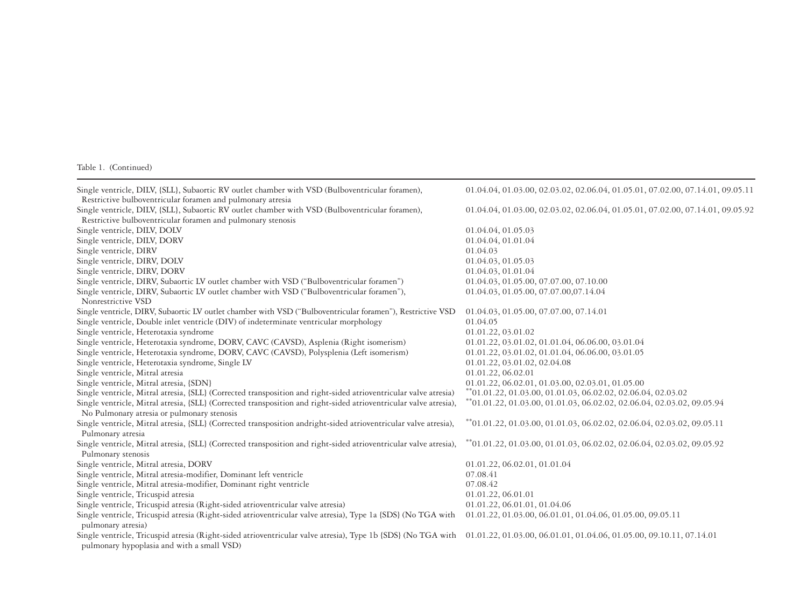| Single ventricle, DILV, {SLL}, Subaortic RV outlet chamber with VSD (Bulboventricular foramen),                                                                                   | 01.04.04, 01.03.00, 02.03.02, 02.06.04, 01.05.01, 07.02.00, 07.14.01, 09.05.11        |
|-----------------------------------------------------------------------------------------------------------------------------------------------------------------------------------|---------------------------------------------------------------------------------------|
| Restrictive bulboventricular foramen and pulmonary atresia                                                                                                                        |                                                                                       |
| Single ventricle, DILV, {SLL}, Subaortic RV outlet chamber with VSD (Bulboventricular foramen),                                                                                   | 01.04.04, 01.03.00, 02.03.02, 02.06.04, 01.05.01, 07.02.00, 07.14.01, 09.05.92        |
| Restrictive bulboventricular foramen and pulmonary stenosis                                                                                                                       |                                                                                       |
| Single ventricle, DILV, DOLV                                                                                                                                                      | 01.04.04, 01.05.03                                                                    |
| Single ventricle, DILV, DORV                                                                                                                                                      | 01.04.04, 01.01.04                                                                    |
| Single ventricle, DIRV                                                                                                                                                            | 01.04.03                                                                              |
| Single ventricle, DIRV, DOLV                                                                                                                                                      | 01.04.03, 01.05.03                                                                    |
| Single ventricle, DIRV, DORV                                                                                                                                                      | 01.04.03, 01.01.04                                                                    |
| Single ventricle, DIRV, Subaortic LV outlet chamber with VSD ("Bulboventricular foramen")                                                                                         | 01.04.03, 01.05.00, 07.07.00, 07.10.00                                                |
| Single ventricle, DIRV, Subaortic LV outlet chamber with VSD ("Bulboventricular foramen"),                                                                                        | 01.04.03, 01.05.00, 07.07.00,07.14.04                                                 |
| Nonrestrictive VSD                                                                                                                                                                |                                                                                       |
| Single ventricle, DIRV, Subaortic LV outlet chamber with VSD ("Bulboventricular foramen"), Restrictive VSD                                                                        | 01.04.03, 01.05.00, 07.07.00, 07.14.01                                                |
| Single ventricle, Double inlet ventricle (DIV) of indeterminate ventricular morphology                                                                                            | 01.04.05                                                                              |
| Single ventricle, Heterotaxia syndrome                                                                                                                                            | 01.01.22, 03.01.02                                                                    |
| Single ventricle, Heterotaxia syndrome, DORV, CAVC (CAVSD), Asplenia (Right isomerism)                                                                                            | 01.01.22, 03.01.02, 01.01.04, 06.06.00, 03.01.04                                      |
| Single ventricle, Heterotaxia syndrome, DORV, CAVC (CAVSD), Polysplenia (Left isomerism)                                                                                          | 01.01.22, 03.01.02, 01.01.04, 06.06.00, 03.01.05                                      |
| Single ventricle, Heterotaxia syndrome, Single LV                                                                                                                                 | 01.01.22, 03.01.02, 02.04.08                                                          |
| Single ventricle, Mitral atresia                                                                                                                                                  | 01.01.22, 06.02.01                                                                    |
| Single ventricle, Mitral atresia, {SDN}                                                                                                                                           | 01.01.22, 06.02.01, 01.03.00, 02.03.01, 01.05.00                                      |
| Single ventricle, Mitral atresia, {SLL} (Corrected transposition and right-sided atrioventricular valve atresia)                                                                  | $*$ <sup>*</sup> 01.01.22, 01.03.00, 01.01.03, 06.02.02, 02.06.04, 02.03.02           |
| Single ventricle, Mitral atresia, {SLL} (Corrected transposition and right-sided atrioventricular valve atresia),                                                                 | $*$ <sup>*</sup> 01.01.22, 01.03.00, 01.01.03, 06.02.02, 02.06.04, 02.03.02, 09.05.94 |
| No Pulmonary atresia or pulmonary stenosis                                                                                                                                        |                                                                                       |
| Single ventricle, Mitral atresia, {SLL} (Corrected transposition andright-sided atrioventricular valve atresia),                                                                  | **01.01.22, 01.03.00, 01.01.03, 06.02.02, 02.06.04, 02.03.02, 09.05.11                |
| Pulmonary atresia                                                                                                                                                                 |                                                                                       |
| Single ventricle, Mitral atresia, {SLL} (Corrected transposition and right-sided atrioventricular valve atresia),                                                                 | $*$ <sup>*</sup> 01.01.22, 01.03.00, 01.01.03, 06.02.02, 02.06.04, 02.03.02, 09.05.92 |
| Pulmonary stenosis                                                                                                                                                                |                                                                                       |
| Single ventricle, Mitral atresia, DORV                                                                                                                                            | 01.01.22, 06.02.01, 01.01.04                                                          |
| Single ventricle, Mitral atresia-modifier, Dominant left ventricle                                                                                                                | 07.08.41                                                                              |
| Single ventricle, Mitral atresia-modifier, Dominant right ventricle                                                                                                               | 07.08.42                                                                              |
| Single ventricle, Tricuspid atresia                                                                                                                                               | 01.01.22, 06.01.01                                                                    |
| Single ventricle, Tricuspid atresia (Right-sided atrioventricular valve atresia)                                                                                                  | 01.01.22, 06.01.01, 01.04.06                                                          |
| Single ventricle, Tricuspid atresia (Right-sided atrioventricular valve atresia), Type 1a {SDS} (No TGA with 01.01.22, 01.03.00, 06.01.01, 01.04.06, 01.05.00, 09.05.11           |                                                                                       |
| pulmonary atresia)                                                                                                                                                                |                                                                                       |
| Single ventricle, Tricuspid atresia (Right-sided atrioventricular valve atresia), Type 1b {SDS} (No TGA with 01.01.22, 01.03.00, 06.01.01, 01.04.06, 01.05.00, 09.10.11, 07.14.01 |                                                                                       |
| pulmonary hypoplasia and with a small VSD)                                                                                                                                        |                                                                                       |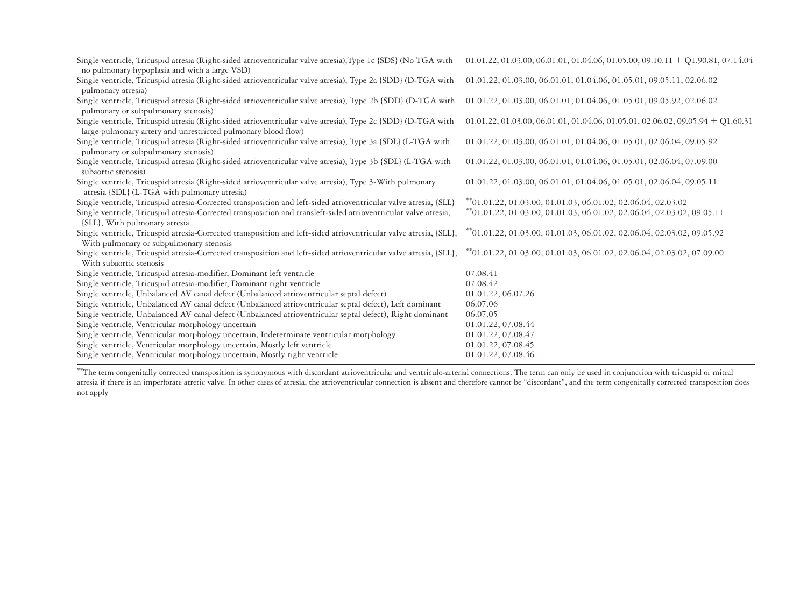| Single ventricle, Tricuspid atresia (Right-sided atrioventricular valve atresia), Type 1c (SDS) (No TGA with<br>no pulmonary hypoplasia and with a large VSD)                | $01.01.22, 01.03.00, 06.01.01, 01.04.06, 01.05.00, 09.10.11 + O1.90.81, 07.14.04$     |
|------------------------------------------------------------------------------------------------------------------------------------------------------------------------------|---------------------------------------------------------------------------------------|
| Single ventricle, Tricuspid atresia (Right-sided atrioventricular valve atresia), Type 2a (SDD) (D-TGA with<br>pulmonary atresia)                                            | 01.01.22, 01.03.00, 06.01.01, 01.04.06, 01.05.01, 09.05.11, 02.06.02                  |
| Single ventricle, Tricuspid atresia (Right-sided atrioventricular valve atresia), Type 2b (SDD) (D-TGA with<br>pulmonary or subpulmonary stenosis)                           | 01.01.22, 01.03.00, 06.01.01, 01.04.06, 01.05.01, 09.05.92, 02.06.02                  |
| Single ventricle, Tricuspid atresia (Right-sided atrioventricular valve atresia), Type 2c (SDD) (D-TGA with<br>large pulmonary artery and unrestricted pulmonary blood flow) | $01.01.22, 01.03.00, 06.01.01, 01.04.06, 01.05.01, 02.06.02, 09.05.94 + Q1.60.31$     |
| Single ventricle, Tricuspid atresia (Right-sided atrioventricular valve atresia), Type 3a (SDL) (L-TGA with<br>pulmonary or subpulmonary stenosis)                           | 01.01.22, 01.03.00, 06.01.01, 01.04.06, 01.05.01, 02.06.04, 09.05.92                  |
| Single ventricle, Tricuspid atresia (Right-sided atrioventricular valve atresia), Type 3b (SDL) (L-TGA with<br>subaortic stenosis)                                           | 01.01.22, 01.03.00, 06.01.01, 01.04.06, 01.05.01, 02.06.04, 07.09.00                  |
| Single ventricle, Tricuspid atresia (Right-sided atrioventricular valve atresia), Type 3-With pulmonary<br>atresia {SDL} (L-TGA with pulmonary atresia)                      | 01.01.22, 01.03.00, 06.01.01, 01.04.06, 01.05.01, 02.06.04, 09.05.11                  |
| Single ventricle, Tricuspid atresia-Corrected transposition and left-sided atrioventricular valve atresia, {SLL}                                                             | $*$ <sup>*</sup> 01.01.22, 01.03.00, 01.01.03, 06.01.02, 02.06.04, 02.03.02           |
| Single ventricle, Tricuspid atresia-Corrected transposition and transleft-sided atrioventricular valve atresia,<br>{SLL}, With pulmonary atresia                             | $^{**}$ 01.01.22, 01.03.00, 01.01.03, 06.01.02, 02.06.04, 02.03.02, 09.05.11          |
| Single ventricle, Tricuspid atresia-Corrected transposition and left-sided atrioventricular valve atresia, {SLL},<br>With pulmonary or subpulmonary stenosis                 | $*$ <sup>*</sup> 01.01.22, 01.03.00, 01.01.03, 06.01.02, 02.06.04, 02.03.02, 09.05.92 |
| Single ventricle, Tricuspid atresia-Corrected transposition and left-sided atrioventricular valve atresia, {SLL},<br>With subaortic stenosis                                 | $^{**}$ 01.01.22, 01.03.00, 01.01.03, 06.01.02, 02.06.04, 02.03.02, 07.09.00          |
| Single ventricle, Tricuspid atresia-modifier, Dominant left ventricle                                                                                                        | 07.08.41                                                                              |
| Single ventricle, Tricuspid atresia-modifier, Dominant right ventricle                                                                                                       | 07.08.42                                                                              |
| Single ventricle, Unbalanced AV canal defect (Unbalanced atrioventricular septal defect)                                                                                     | 01.01.22, 06.07.26                                                                    |
| Single ventricle, Unbalanced AV canal defect (Unbalanced atrioventricular septal defect), Left dominant                                                                      | 06.07.06                                                                              |
| Single ventricle, Unbalanced AV canal defect (Unbalanced atrioventricular septal defect), Right dominant                                                                     | 06.07.05                                                                              |
| Single ventricle, Ventricular morphology uncertain                                                                                                                           | 01.01.22, 07.08.44                                                                    |
| Single ventricle, Ventricular morphology uncertain, Indeterminate ventricular morphology                                                                                     | 01.01.22, 07.08.47                                                                    |
| Single ventricle, Ventricular morphology uncertain, Mostly left ventricle                                                                                                    | 01.01.22, 07.08.45                                                                    |
| Single ventricle, Ventricular morphology uncertain, Mostly right ventricle                                                                                                   | 01.01.22, 07.08.46                                                                    |
|                                                                                                                                                                              |                                                                                       |

\*\*The term congenitally corrected transposition is synonymous with discordant atrioventricular and ventriculo-arterial connections. The term can only be used in conjunction with tricuspid or mitral atresia if there is an imperforate atretic valve. In other cases of atresia, the atrioventricular connection is absent and therefore cannot be "discordant", and the term congenitally corrected transposition does not apply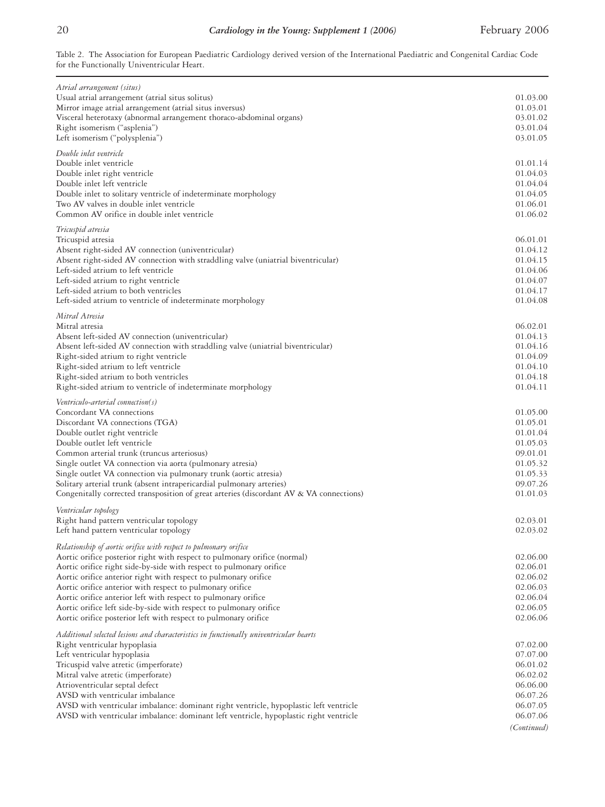Table 2. The Association for European Paediatric Cardiology derived version of the International Paediatric and Congenital Cardiac Code for the Functionally Univentricular Heart.

| Atrial arrangement (situs)                                                                                                            |                      |
|---------------------------------------------------------------------------------------------------------------------------------------|----------------------|
| Usual atrial arrangement (atrial situs solitus)                                                                                       | 01.03.00<br>01.03.01 |
| Mirror image atrial arrangement (atrial situs inversus)<br>Visceral heterotaxy (abnormal arrangement thoraco-abdominal organs)        | 03.01.02             |
| Right isomerism ("asplenia")                                                                                                          | 03.01.04             |
| Left isomerism ("polysplenia")                                                                                                        | 03.01.05             |
| Double inlet ventricle                                                                                                                |                      |
| Double inlet ventricle                                                                                                                | 01.01.14             |
| Double inlet right ventricle<br>Double inlet left ventricle                                                                           | 01.04.03<br>01.04.04 |
| Double inlet to solitary ventricle of indeterminate morphology                                                                        | 01.04.05             |
| Two AV valves in double inlet ventricle                                                                                               | 01.06.01             |
| Common AV orifice in double inlet ventricle                                                                                           | 01.06.02             |
| Tricuspid atresia                                                                                                                     |                      |
| Tricuspid atresia                                                                                                                     | 06.01.01             |
| Absent right-sided AV connection (univentricular)<br>Absent right-sided AV connection with straddling valve (uniatrial biventricular) | 01.04.12<br>01.04.15 |
| Left-sided atrium to left ventricle                                                                                                   | 01.04.06             |
| Left-sided atrium to right ventricle                                                                                                  | 01.04.07             |
| Left-sided atrium to both ventricles                                                                                                  | 01.04.17             |
| Left-sided atrium to ventricle of indeterminate morphology                                                                            | 01.04.08             |
| Mitral Atresia                                                                                                                        |                      |
| Mitral atresia<br>Absent left-sided AV connection (univentricular)                                                                    | 06.02.01<br>01.04.13 |
| Absent left-sided AV connection with straddling valve (uniatrial biventricular)                                                       | 01.04.16             |
| Right-sided atrium to right ventricle                                                                                                 | 01.04.09             |
| Right-sided atrium to left ventricle                                                                                                  | 01.04.10             |
| Right-sided atrium to both ventricles                                                                                                 | 01.04.18             |
| Right-sided atrium to ventricle of indeterminate morphology                                                                           | 01.04.11             |
| Ventriculo-arterial connection(s)<br>Concordant VA connections                                                                        | 01.05.00             |
| Discordant VA connections (TGA)                                                                                                       | 01.05.01             |
| Double outlet right ventricle                                                                                                         | 01.01.04             |
| Double outlet left ventricle                                                                                                          | 01.05.03             |
| Common arterial trunk (truncus arteriosus)                                                                                            | 09.01.01             |
| Single outlet VA connection via aorta (pulmonary atresia)                                                                             | 01.05.32             |
| Single outlet VA connection via pulmonary trunk (aortic atresia)                                                                      | 01.05.33             |
| Solitary arterial trunk (absent intrapericardial pulmonary arteries)                                                                  | 09.07.26             |
| Congenitally corrected transposition of great arteries (discordant AV & VA connections)                                               | 01.01.03             |
| Ventricular topology<br>Right hand pattern ventricular topology                                                                       | 02.03.01             |
| Left hand pattern ventricular topology                                                                                                | 02.03.02             |
| Relationship of aortic orifice with respect to pulmonary orifice                                                                      |                      |
| Aortic orifice posterior right with respect to pulmonary orifice (normal)                                                             | 02.06.00             |
| Aortic orifice right side-by-side with respect to pulmonary orifice                                                                   | 02.06.01             |
| Aortic orifice anterior right with respect to pulmonary orifice                                                                       | 02.06.02             |
| Aortic orifice anterior with respect to pulmonary orifice                                                                             | 02.06.03             |
| Aortic orifice anterior left with respect to pulmonary orifice<br>Aortic orifice left side-by-side with respect to pulmonary orifice  | 02.06.04<br>02.06.05 |
| Aortic orifice posterior left with respect to pulmonary orifice                                                                       | 02.06.06             |
| Additional selected lesions and characteristics in functionally univentricular hearts                                                 |                      |
| Right ventricular hypoplasia                                                                                                          | 07.02.00             |
| Left ventricular hypoplasia                                                                                                           | 07.07.00             |
| Tricuspid valve atretic (imperforate)                                                                                                 | 06.01.02             |
| Mitral valve atretic (imperforate)                                                                                                    | 06.02.02<br>06.06.00 |
| Atrioventricular septal defect<br>AVSD with ventricular imbalance                                                                     | 06.07.26             |
| AVSD with ventricular imbalance: dominant right ventricle, hypoplastic left ventricle                                                 | 06.07.05             |
| AVSD with ventricular imbalance: dominant left ventricle, hypoplastic right ventricle                                                 | 06.07.06             |
|                                                                                                                                       | (Continued)          |
|                                                                                                                                       |                      |